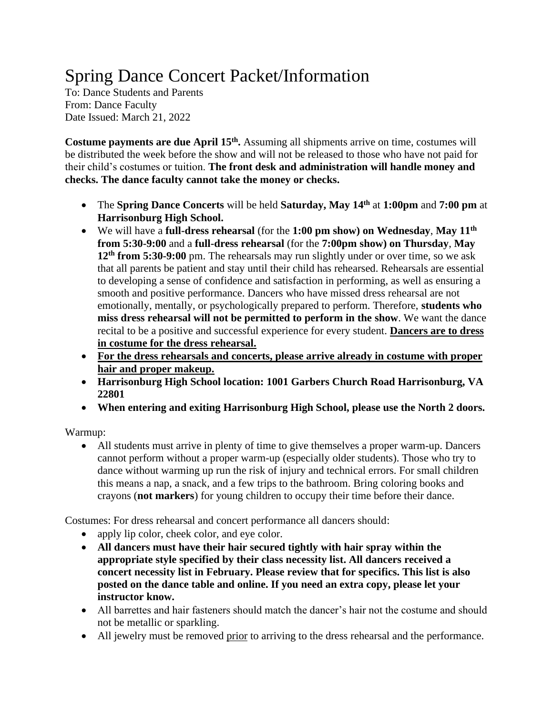# Spring Dance Concert Packet/Information

To: Dance Students and Parents From: Dance Faculty Date Issued: March 21, 2022

**Costume payments are due April 15th .** Assuming all shipments arrive on time, costumes will be distributed the week before the show and will not be released to those who have not paid for their child's costumes or tuition. **The front desk and administration will handle money and checks. The dance faculty cannot take the money or checks.**

- The **Spring Dance Concerts** will be held **Saturday, May 14 th** at **1:00pm** and **7:00 pm** at **Harrisonburg High School.**
- We will have a **full-dress rehearsal** (for the **1:00 pm show) on Wednesday**, **May 11 th from 5:30-9:00** and a **full-dress rehearsal** (for the **7:00pm show) on Thursday**, **May 12 th from 5:30-9:00** pm. The rehearsals may run slightly under or over time, so we ask that all parents be patient and stay until their child has rehearsed. Rehearsals are essential to developing a sense of confidence and satisfaction in performing, as well as ensuring a smooth and positive performance. Dancers who have missed dress rehearsal are not emotionally, mentally, or psychologically prepared to perform. Therefore, **students who miss dress rehearsal will not be permitted to perform in the show**. We want the dance recital to be a positive and successful experience for every student. **Dancers are to dress in costume for the dress rehearsal.**
- **For the dress rehearsals and concerts, please arrive already in costume with proper hair and proper makeup.**
- **Harrisonburg High School location: 1001 Garbers Church Road Harrisonburg, VA 22801**
- **When entering and exiting Harrisonburg High School, please use the North 2 doors.**

Warmup:

• All students must arrive in plenty of time to give themselves a proper warm-up. Dancers cannot perform without a proper warm-up (especially older students). Those who try to dance without warming up run the risk of injury and technical errors. For small children this means a nap, a snack, and a few trips to the bathroom. Bring coloring books and crayons (**not markers**) for young children to occupy their time before their dance.

Costumes: For dress rehearsal and concert performance all dancers should:

- apply lip color, cheek color, and eye color.
- **All dancers must have their hair secured tightly with hair spray within the appropriate style specified by their class necessity list. All dancers received a concert necessity list in February. Please review that for specifics. This list is also posted on the dance table and online. If you need an extra copy, please let your instructor know.**
- All barrettes and hair fasteners should match the dancer's hair not the costume and should not be metallic or sparkling.
- All jewelry must be removed prior to arriving to the dress rehearsal and the performance.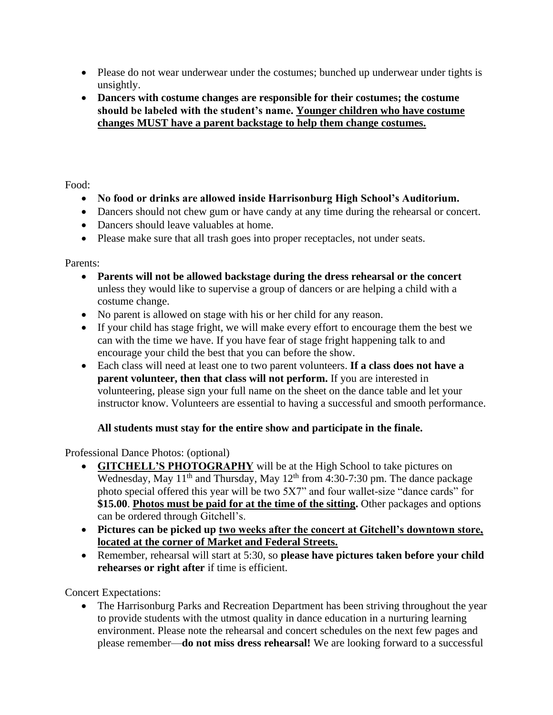- Please do not wear underwear under the costumes; bunched up underwear under tights is unsightly.
- **Dancers with costume changes are responsible for their costumes; the costume should be labeled with the student's name. Younger children who have costume changes MUST have a parent backstage to help them change costumes.**

Food:

- **No food or drinks are allowed inside Harrisonburg High School's Auditorium.**
- Dancers should not chew gum or have candy at any time during the rehearsal or concert.
- Dancers should leave valuables at home.
- Please make sure that all trash goes into proper receptacles, not under seats.

Parents:

- **Parents will not be allowed backstage during the dress rehearsal or the concert**  unless they would like to supervise a group of dancers or are helping a child with a costume change.
- No parent is allowed on stage with his or her child for any reason.
- If your child has stage fright, we will make every effort to encourage them the best we can with the time we have. If you have fear of stage fright happening talk to and encourage your child the best that you can before the show.
- Each class will need at least one to two parent volunteers. **If a class does not have a parent volunteer, then that class will not perform.** If you are interested in volunteering, please sign your full name on the sheet on the dance table and let your instructor know. Volunteers are essential to having a successful and smooth performance.

## **All students must stay for the entire show and participate in the finale.**

Professional Dance Photos: (optional)

- **GITCHELL'S PHOTOGRAPHY** will be at the High School to take pictures on Wednesday, May  $11<sup>th</sup>$  and Thursday, May  $12<sup>th</sup>$  from 4:30-7:30 pm. The dance package photo special offered this year will be two 5X7" and four wallet-size "dance cards" for **\$15.00**. **Photos must be paid for at the time of the sitting.** Other packages and options can be ordered through Gitchell's.
- **Pictures can be picked up two weeks after the concert at Gitchell's downtown store, located at the corner of Market and Federal Streets.**
- Remember, rehearsal will start at 5:30, so **please have pictures taken before your child rehearses or right after** if time is efficient.

Concert Expectations:

• The Harrisonburg Parks and Recreation Department has been striving throughout the year to provide students with the utmost quality in dance education in a nurturing learning environment. Please note the rehearsal and concert schedules on the next few pages and please remember—**do not miss dress rehearsal!** We are looking forward to a successful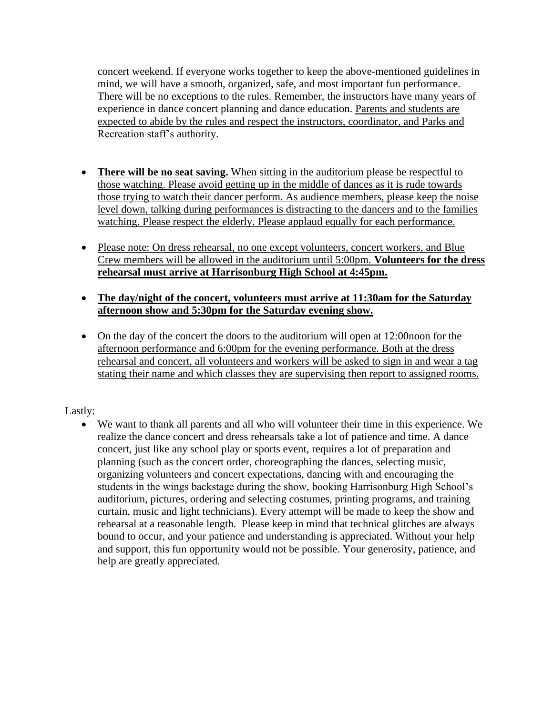concert weekend. If everyone works together to keep the above-mentioned guidelines in mind, we will have a smooth, organized, safe, and most important fun performance. There will be no exceptions to the rules. Remember, the instructors have many years of experience in dance concert planning and dance education. Parents and students are expected to abide by the rules and respect the instructors, coordinator, and Parks and Recreation staff's authority.

- **There will be no seat saving.** When sitting in the auditorium please be respectful to those watching. Please avoid getting up in the middle of dances as it is rude towards those trying to watch their dancer perform. As audience members, please keep the noise level down, talking during performances is distracting to the dancers and to the families watching. Please respect the elderly. Please applaud equally for each performance.
- Please note: On dress rehearsal, no one except volunteers, concert workers, and Blue Crew members will be allowed in the auditorium until 5:00pm. **Volunteers for the dress rehearsal must arrive at Harrisonburg High School at 4:45pm.**
- **The day/night of the concert, volunteers must arrive at 11:30am for the Saturday afternoon show and 5:30pm for the Saturday evening show.**
- On the day of the concert the doors to the auditorium will open at 12:00 noon for the afternoon performance and 6:00pm for the evening performance. Both at the dress rehearsal and concert, all volunteers and workers will be asked to sign in and wear a tag stating their name and which classes they are supervising then report to assigned rooms.

## Lastly:

• We want to thank all parents and all who will volunteer their time in this experience. We realize the dance concert and dress rehearsals take a lot of patience and time. A dance concert, just like any school play or sports event, requires a lot of preparation and planning (such as the concert order, choreographing the dances, selecting music, organizing volunteers and concert expectations, dancing with and encouraging the students in the wings backstage during the show, booking Harrisonburg High School's auditorium, pictures, ordering and selecting costumes, printing programs, and training curtain, music and light technicians). Every attempt will be made to keep the show and rehearsal at a reasonable length. Please keep in mind that technical glitches are always bound to occur, and your patience and understanding is appreciated. Without your help and support, this fun opportunity would not be possible. Your generosity, patience, and help are greatly appreciated.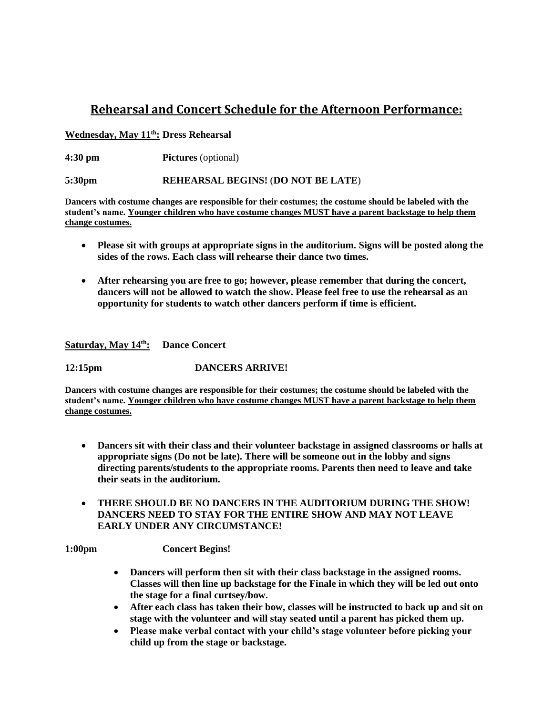## **Rehearsal and Concert Schedule for the Afternoon Performance:**

### **Wednesday, May 11 th: Dress Rehearsal**

**4:30 pm Pictures** (optional)

**5:30pm REHEARSAL BEGINS!** (**DO NOT BE LATE**)

**Dancers with costume changes are responsible for their costumes; the costume should be labeled with the student's name. Younger children who have costume changes MUST have a parent backstage to help them change costumes.**

- **Please sit with groups at appropriate signs in the auditorium. Signs will be posted along the sides of the rows. Each class will rehearse their dance two times.**
- **After rehearsing you are free to go; however, please remember that during the concert, dancers will not be allowed to watch the show. Please feel free to use the rehearsal as an opportunity for students to watch other dancers perform if time is efficient.**

**Saturday, May 14 th: Dance Concert**

**12:15pm DANCERS ARRIVE!**

**Dancers with costume changes are responsible for their costumes; the costume should be labeled with the student's name. Younger children who have costume changes MUST have a parent backstage to help them change costumes.**

- **Dancers sit with their class and their volunteer backstage in assigned classrooms or halls at appropriate signs (Do not be late). There will be someone out in the lobby and signs directing parents/students to the appropriate rooms. Parents then need to leave and take their seats in the auditorium.**
- **THERE SHOULD BE NO DANCERS IN THE AUDITORIUM DURING THE SHOW! DANCERS NEED TO STAY FOR THE ENTIRE SHOW AND MAY NOT LEAVE EARLY UNDER ANY CIRCUMSTANCE!**

**1:00pm Concert Begins!**

- **Dancers will perform then sit with their class backstage in the assigned rooms. Classes will then line up backstage for the Finale in which they will be led out onto the stage for a final curtsey/bow.**
- **After each class has taken their bow, classes will be instructed to back up and sit on stage with the volunteer and will stay seated until a parent has picked them up.**
- **Please make verbal contact with your child's stage volunteer before picking your child up from the stage or backstage.**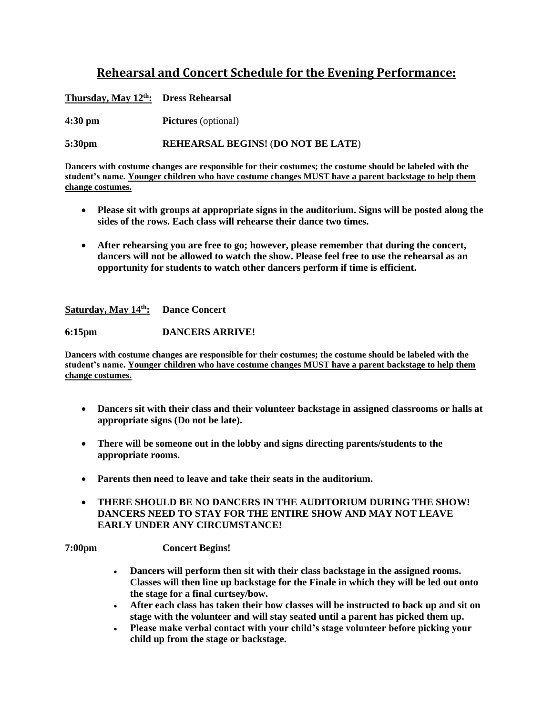# **Rehearsal and Concert Schedule for the Evening Performance:**

**Thursday, May 12 th : Dress Rehearsal**

**4:30 pm Pictures** (optional)

**5:30pm REHEARSAL BEGINS!** (**DO NOT BE LATE**)

**Dancers with costume changes are responsible for their costumes; the costume should be labeled with the student's name. Younger children who have costume changes MUST have a parent backstage to help them change costumes.**

- **Please sit with groups at appropriate signs in the auditorium. Signs will be posted along the sides of the rows. Each class will rehearse their dance two times.**
- **After rehearsing you are free to go; however, please remember that during the concert, dancers will not be allowed to watch the show. Please feel free to use the rehearsal as an opportunity for students to watch other dancers perform if time is efficient.**

**Saturday, May 14 th: Dance Concert**

**6:15pm DANCERS ARRIVE!**

**Dancers with costume changes are responsible for their costumes; the costume should be labeled with the student's name. Younger children who have costume changes MUST have a parent backstage to help them change costumes.**

- **Dancers sit with their class and their volunteer backstage in assigned classrooms or halls at appropriate signs (Do not be late).**
- **There will be someone out in the lobby and signs directing parents/students to the appropriate rooms.**
- **Parents then need to leave and take their seats in the auditorium.**
- **THERE SHOULD BE NO DANCERS IN THE AUDITORIUM DURING THE SHOW! DANCERS NEED TO STAY FOR THE ENTIRE SHOW AND MAY NOT LEAVE EARLY UNDER ANY CIRCUMSTANCE!**

**7:00pm Concert Begins!**

- **Dancers will perform then sit with their class backstage in the assigned rooms. Classes will then line up backstage for the Finale in which they will be led out onto the stage for a final curtsey/bow.**
- **After each class has taken their bow classes will be instructed to back up and sit on stage with the volunteer and will stay seated until a parent has picked them up.**
- **Please make verbal contact with your child's stage volunteer before picking your child up from the stage or backstage.**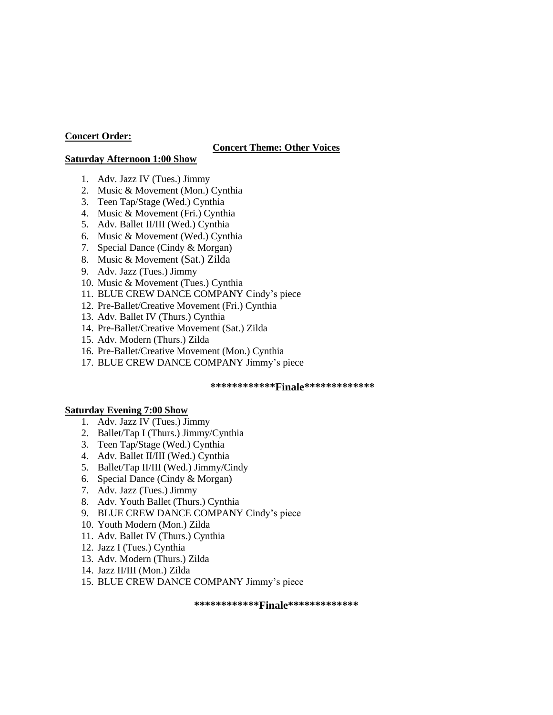#### **Concert Order:**

#### **Concert Theme: Other Voices**

#### **Saturday Afternoon 1:00 Show**

- 1. Adv. Jazz IV (Tues.) Jimmy
- 2. Music & Movement (Mon.) Cynthia
- 3. Teen Tap/Stage (Wed.) Cynthia
- 4. Music & Movement (Fri.) Cynthia
- 5. Adv. Ballet II/III (Wed.) Cynthia
- 6. Music & Movement (Wed.) Cynthia
- 7. Special Dance (Cindy & Morgan)
- 8. Music & Movement (Sat.) Zilda
- 9. Adv. Jazz (Tues.) Jimmy
- 10. Music & Movement (Tues.) Cynthia
- 11. BLUE CREW DANCE COMPANY Cindy's piece
- 12. Pre-Ballet/Creative Movement (Fri.) Cynthia
- 13. Adv. Ballet IV (Thurs.) Cynthia
- 14. Pre-Ballet/Creative Movement (Sat.) Zilda
- 15. Adv. Modern (Thurs.) Zilda
- 16. Pre-Ballet/Creative Movement (Mon.) Cynthia
- 17. BLUE CREW DANCE COMPANY Jimmy's piece

#### **\*\*\*\*\*\*\*\*\*\*\*\*Finale\*\*\*\*\*\*\*\*\*\*\*\*\***

#### **Saturday Evening 7:00 Show**

- 1. Adv. Jazz IV (Tues.) Jimmy
- 2. Ballet/Tap I (Thurs.) Jimmy/Cynthia
- 3. Teen Tap/Stage (Wed.) Cynthia
- 4. Adv. Ballet II/III (Wed.) Cynthia
- 5. Ballet/Tap II/III (Wed.) Jimmy/Cindy
- 6. Special Dance (Cindy & Morgan)
- 7. Adv. Jazz (Tues.) Jimmy
- 8. Adv. Youth Ballet (Thurs.) Cynthia
- 9. BLUE CREW DANCE COMPANY Cindy's piece
- 10. Youth Modern (Mon.) Zilda
- 11. Adv. Ballet IV (Thurs.) Cynthia
- 12. Jazz I (Tues.) Cynthia
- 13. Adv. Modern (Thurs.) Zilda
- 14. Jazz II/III (Mon.) Zilda
- 15. BLUE CREW DANCE COMPANY Jimmy's piece

**\*\*\*\*\*\*\*\*\*\*\*\*Finale\*\*\*\*\*\*\*\*\*\*\*\*\***